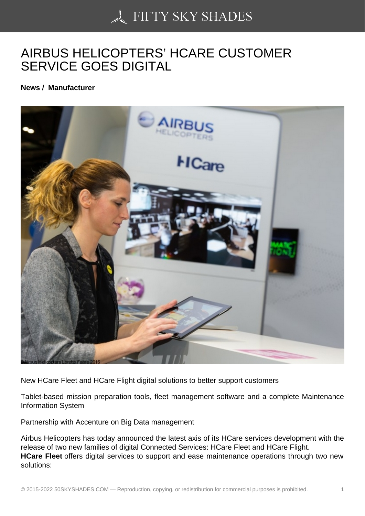## [AIRBUS HELICOPTER](https://50skyshades.com)S' HCARE CUSTOMER SERVICE GOES DIGITAL

News / Manufacturer

New HCare Fleet and HCare Flight digital solutions to better support customers

Tablet-based mission preparation tools, fleet management software and a complete Maintenance Information System

Partnership with Accenture on Big Data management

Airbus Helicopters has today announced the latest axis of its HCare services development with the release of two new families of digital Connected Services: HCare Fleet and HCare Flight. HCare Fleet offers digital services to support and ease maintenance operations through two new solutions: